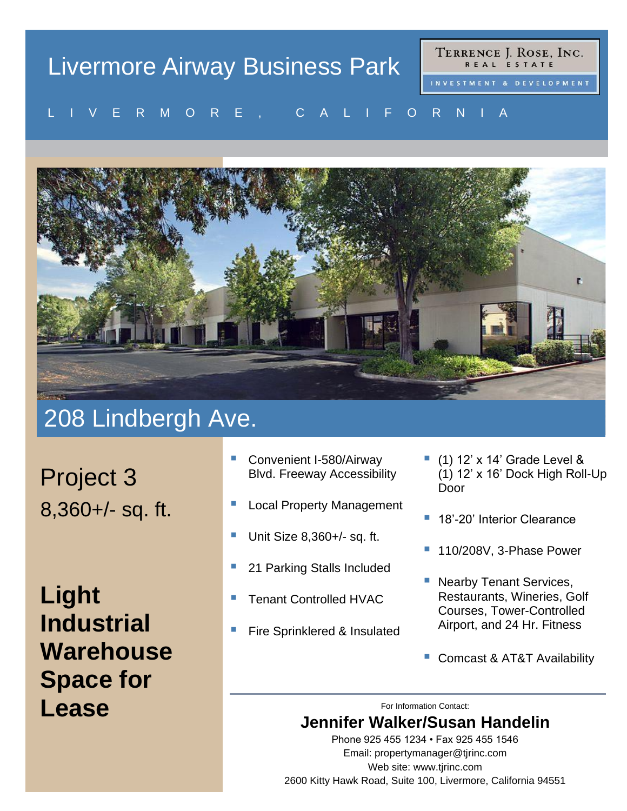#### TERRENCE J. ROSE, INC. Livermore Airway Business Park REAL ESTATE L I V E R M O R E , C A L I F O R N I A V E R MU R E , U A L I F U R N I A



# 208 Lindbergh Ave.

Project 3 8,360+/- sq. ft.

**Light Industrial Warehouse Space for Lease** For Information Contact:

- Convenient I-580/Airway Blvd. Freeway Accessibility
- **Local Property Management**
- Unit Size 8,360+/- sq. ft.
- 21 Parking Stalls Included
- **Tenant Controlled HVAC**
- **Fire Sprinklered & Insulated**
- $(1)$  12' x 14' Grade Level & (1) 12' x 16' Dock High Roll-Up Door
- 18'-20' Interior Clearance
- 110/208V, 3-Phase Power
- Nearby Tenant Services, Restaurants, Wineries, Golf Courses, Tower-Controlled Airport, and 24 Hr. Fitness
- Comcast & AT&T Availability

## **Jennifer Walker/Susan Handelin**

Phone 925 455 1234 • Fax 925 455 1546 Email: propertymanager@tjrinc.com Web site: www.tjrinc.com 2600 Kitty Hawk Road, Suite 100, Livermore, California 94551